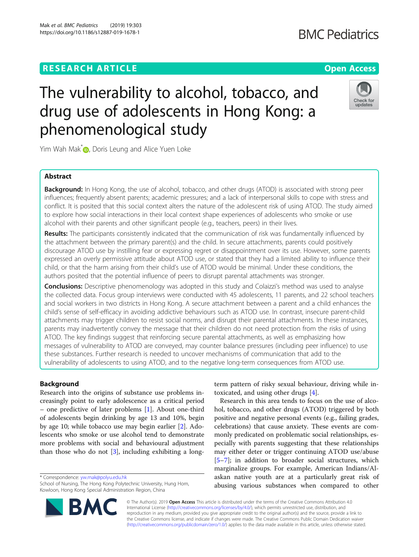## Mak et al. BMC Pediatrics (2019) 19:303 https://doi.org/10.1186/s12887-019-1678-1

**BMC Pediatrics** 

# Check for

undates

## The vulnerability to alcohol, tobacco, and drug use of adolescents in Hong Kong: a phenomenological study

Yim Wah Mak<sup>\*</sup> [,](http://orcid.org/0000-0001-7330-7001) Doris Leung and Alice Yuen Loke

## Abstract

**Background:** In Hong Kong, the use of alcohol, tobacco, and other drugs (ATOD) is associated with strong peer influences; frequently absent parents; academic pressures; and a lack of interpersonal skills to cope with stress and conflict. It is posited that this social context alters the nature of the adolescent risk of using ATOD. The study aimed to explore how social interactions in their local context shape experiences of adolescents who smoke or use alcohol with their parents and other significant people (e.g., teachers, peers) in their lives.

Results: The participants consistently indicated that the communication of risk was fundamentally influenced by the attachment between the primary parent(s) and the child. In secure attachments, parents could positively discourage ATOD use by instilling fear or expressing regret or disappointment over its use. However, some parents expressed an overly permissive attitude about ATOD use, or stated that they had a limited ability to influence their child, or that the harm arising from their child's use of ATOD would be minimal. Under these conditions, the authors posited that the potential influence of peers to disrupt parental attachments was stronger.

**Conclusions:** Descriptive phenomenology was adopted in this study and Colaizzi's method was used to analyse the collected data. Focus group interviews were conducted with 45 adolescents, 11 parents, and 22 school teachers and social workers in two districts in Hong Kong. A secure attachment between a parent and a child enhances the child's sense of self-efficacy in avoiding addictive behaviours such as ATOD use. In contrast, insecure parent-child attachments may trigger children to resist social norms, and disrupt their parental attachments. In these instances, parents may inadvertently convey the message that their children do not need protection from the risks of using ATOD. The key findings suggest that reinforcing secure parental attachments, as well as emphasizing how messages of vulnerability to ATOD are conveyed, may counter balance pressures (including peer influence) to use these substances. Further research is needed to uncover mechanisms of communication that add to the vulnerability of adolescents to using ATOD, and to the negative long-term consequences from ATOD use.

## Background

Research into the origins of substance use problems increasingly point to early adolescence as a critical period – one predictive of later problems [\[1](#page-10-0)]. About one-third of adolescents begin drinking by age 13 and 10%, begin by age 10; while tobacco use may begin earlier [\[2](#page-10-0)]. Adolescents who smoke or use alcohol tend to demonstrate more problems with social and behavioural adjustment than those who do not [\[3](#page-10-0)], including exhibiting a long-

\* Correspondence: [yw.mak@polyu.edu.hk](mailto:yw.mak@polyu.edu.hk)



Research in this area tends to focus on the use of alcohol, tobacco, and other drugs (ATOD) triggered by both positive and negative personal events (e.g., failing grades, celebrations) that cause anxiety. These events are commonly predicated on problematic social relationships, especially with parents suggesting that these relationships may either deter or trigger continuing ATOD use/abuse [[5](#page-10-0)–[7\]](#page-10-0); in addition to broader social structures, which marginalize groups. For example, American Indians/Alaskan native youth are at a particularly great risk of abusing various substances when compared to other

© The Author(s). 2019 **Open Access** This article is distributed under the terms of the Creative Commons Attribution 4.0 International License [\(http://creativecommons.org/licenses/by/4.0/](http://creativecommons.org/licenses/by/4.0/)), which permits unrestricted use, distribution, and reproduction in any medium, provided you give appropriate credit to the original author(s) and the source, provide a link to the Creative Commons license, and indicate if changes were made. The Creative Commons Public Domain Dedication waiver [\(http://creativecommons.org/publicdomain/zero/1.0/](http://creativecommons.org/publicdomain/zero/1.0/)) applies to the data made available in this article, unless otherwise stated.



School of Nursing, The Hong Kong Polytechnic University, Hung Hom, Kowloon, Hong Kong Special Administration Region, China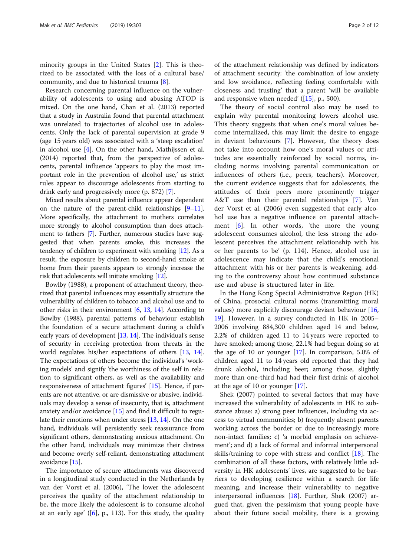minority groups in the United States [\[2](#page-10-0)]. This is theorized to be associated with the loss of a cultural base/ community, and due to historical trauma [\[8](#page-10-0)].

Research concerning parental influence on the vulnerability of adolescents to using and abusing ATOD is mixed. On the one hand, Chan et al. (2013) reported that a study in Australia found that parental attachment was unrelated to trajectories of alcohol use in adolescents. Only the lack of parental supervision at grade 9 (age 15 years old) was associated with a 'steep escalation' in alcohol use [\[4](#page-10-0)]. On the other hand, Mathijssen et al. (2014) reported that, from the perspective of adolescents, parental influence 'appears to play the most important role in the prevention of alcohol use,' as strict rules appear to discourage adolescents from starting to drink early and progressively more (p. 872) [\[7](#page-10-0)].

Mixed results about parental influence appear dependent on the nature of the parent-child relationships [\[9](#page-10-0)–[11](#page-10-0)]. More specifically, the attachment to mothers correlates more strongly to alcohol consumption than does attachment to fathers [\[7\]](#page-10-0). Further, numerous studies have suggested that when parents smoke, this increases the tendency of children to experiment with smoking [\[12](#page-10-0)]. As a result, the exposure by children to second-hand smoke at home from their parents appears to strongly increase the risk that adolescents will initiate smoking [\[12\]](#page-10-0).

Bowlby (1988), a proponent of attachment theory, theorized that parental influences may essentially structure the vulnerability of children to tobacco and alcohol use and to other risks in their environment  $[6, 13, 14]$  $[6, 13, 14]$  $[6, 13, 14]$  $[6, 13, 14]$  $[6, 13, 14]$  $[6, 13, 14]$ . According to Bowlby (1988), parental patterns of behaviour establish the foundation of a secure attachment during a child's early years of development [\[13,](#page-10-0) [14](#page-10-0)]. The individual's sense of security in receiving protection from threats in the world regulates his/her expectations of others [[13,](#page-10-0) [14](#page-10-0)]. The expectations of others become the individual's 'working models' and signify 'the worthiness of the self in relation to significant others, as well as the availability and responsiveness of attachment figures' [\[15\]](#page-10-0). Hence, if parents are not attentive, or are dismissive or abusive, individuals may develop a sense of insecurity, that is, attachment anxiety and/or avoidance  $[15]$  $[15]$  $[15]$  and find it difficult to regulate their emotions when under stress [\[13,](#page-10-0) [14\]](#page-10-0). On the one hand, individuals will persistently seek reassurance from significant others, demonstrating anxious attachment. On the other hand, individuals may minimize their distress and become overly self-reliant, demonstrating attachment avoidance [\[15\]](#page-10-0).

The importance of secure attachments was discovered in a longitudinal study conducted in the Netherlands by van der Vorst et al. (2006), 'The lower the adolescent perceives the quality of the attachment relationship to be, the more likely the adolescent is to consume alcohol at an early age'  $([6]$  $([6]$ , p., 113). For this study, the quality

of the attachment relationship was defined by indicators of attachment security: 'the combination of low anxiety and low avoidance, reflecting feeling comfortable with closeness and trusting' that a parent 'will be available and responsive when needed' ([[15\]](#page-10-0), p., 500).

The theory of social control also may be used to explain why parental monitoring lowers alcohol use. This theory suggests that when one's moral values become internalized, this may limit the desire to engage in deviant behaviours [[7](#page-10-0)]. However, the theory does not take into account how one's moral values or attitudes are essentially reinforced by social norms, including norms involving parental communication or influences of others (i.e., peers, teachers). Moreover, the current evidence suggests that for adolescents, the attitudes of their peers more prominently trigger A&T use than their parental relationships [[7](#page-10-0)]. Van der Vorst et al. (2006) even suggested that early alcohol use has a negative influence on parental attachment [[6\]](#page-10-0). In other words, 'the more the young adolescent consumes alcohol, the less strong the adolescent perceives the attachment relationship with his or her parents to be' (p. 114). Hence, alcohol use in adolescence may indicate that the child's emotional attachment with his or her parents is weakening, adding to the controversy about how continued substance use and abuse is structured later in life.

In the Hong Kong Special Administrative Region (HK) of China, prosocial cultural norms (transmitting moral values) more explicitly discourage deviant behaviour [[16](#page-10-0), [19\]](#page-10-0). However, in a survey conducted in HK in 2005– 2006 involving 884,300 children aged 14 and below, 2.2% of children aged 11 to 14 years were reported to have smoked; among those, 22.1% had begun doing so at the age of 10 or younger  $[17]$  $[17]$ . In comparison, 5.0% of children aged 11 to 14 years old reported that they had drunk alcohol, including beer; among those, slightly more than one-third had had their first drink of alcohol at the age of 10 or younger [[17\]](#page-10-0).

Shek (2007) pointed to several factors that may have increased the vulnerability of adolescents in HK to substance abuse: a) strong peer influences, including via access to virtual communities; b) frequently absent parents working across the border or due to increasingly more non-intact families; c) 'a morbid emphasis on achievement'; and d) a lack of formal and informal interpersonal skills/training to cope with stress and conflict [\[18](#page-10-0)]. The combination of all these factors, with relatively little adversity in HK adolescents' lives, are suggested to be barriers to developing resilience within a search for life meaning, and increase their vulnerability to negative interpersonal influences [[18\]](#page-10-0). Further, Shek (2007) argued that, given the pessimism that young people have about their future social mobility, there is a growing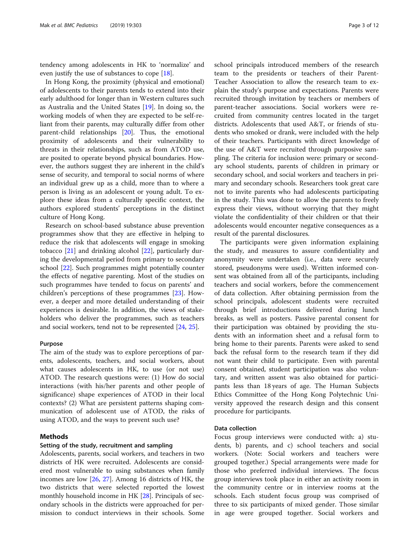tendency among adolescents in HK to 'normalize' and even justify the use of substances to cope [[18\]](#page-10-0).

In Hong Kong, the proximity (physical and emotional) of adolescents to their parents tends to extend into their early adulthood for longer than in Western cultures such as Australia and the United States [[19\]](#page-10-0). In doing so, the working models of when they are expected to be self-reliant from their parents, may culturally differ from other parent-child relationships [\[20](#page-10-0)]. Thus, the emotional proximity of adolescents and their vulnerability to threats in their relationships, such as from ATOD use, are posited to operate beyond physical boundaries. However, the authors suggest they are inherent in the child's sense of security, and temporal to social norms of where an individual grew up as a child, more than to where a person is living as an adolescent or young adult. To explore these ideas from a culturally specific context, the authors explored students' perceptions in the distinct culture of Hong Kong.

Research on school-based substance abuse prevention programmes show that they are effective in helping to reduce the risk that adolescents will engage in smoking tobacco [\[21\]](#page-10-0) and drinking alcohol [\[22](#page-10-0)], particularly during the developmental period from primary to secondary school [\[22](#page-10-0)]. Such programmes might potentially counter the effects of negative parenting. Most of the studies on such programmes have tended to focus on parents' and children's perceptions of these programmes [\[23\]](#page-11-0). However, a deeper and more detailed understanding of their experiences is desirable. In addition, the views of stakeholders who deliver the programmes, such as teachers and social workers, tend not to be represented [\[24](#page-11-0), [25\]](#page-11-0).

## Purpose

The aim of the study was to explore perceptions of parents, adolescents, teachers, and social workers, about what causes adolescents in HK, to use (or not use) ATOD. The research questions were: (1) How do social interactions (with his/her parents and other people of significance) shape experiences of ATOD in their local contexts? (2) What are persistent patterns shaping communication of adolescent use of ATOD, the risks of using ATOD, and the ways to prevent such use?

## Methods

## Setting of the study, recruitment and sampling

Adolescents, parents, social workers, and teachers in two districts of HK were recruited. Adolescents are considered most vulnerable to using substances when family incomes are low [[26](#page-11-0), [27\]](#page-11-0). Among 16 districts of HK, the two districts that were selected reported the lowest monthly household income in HK [[28](#page-11-0)]. Principals of secondary schools in the districts were approached for permission to conduct interviews in their schools. Some school principals introduced members of the research team to the presidents or teachers of their Parent-Teacher Association to allow the research team to explain the study's purpose and expectations. Parents were recruited through invitation by teachers or members of parent-teacher associations. Social workers were recruited from community centres located in the target districts. Adolescents that used A&T, or friends of students who smoked or drank, were included with the help of their teachers. Participants with direct knowledge of the use of A&T were recruited through purposive sampling. The criteria for inclusion were: primary or secondary school students, parents of children in primary or secondary school, and social workers and teachers in primary and secondary schools. Researchers took great care not to invite parents who had adolescents participating in the study. This was done to allow the parents to freely express their views, without worrying that they might violate the confidentiality of their children or that their adolescents would encounter negative consequences as a result of the parental disclosures.

The participants were given information explaining the study, and measures to assure confidentiality and anonymity were undertaken (i.e., data were securely stored, pseudonyms were used). Written informed consent was obtained from all of the participants, including teachers and social workers, before the commencement of data collection. After obtaining permission from the school principals, adolescent students were recruited through brief introductions delivered during lunch breaks, as well as posters. Passive parental consent for their participation was obtained by providing the students with an information sheet and a refusal form to bring home to their parents. Parents were asked to send back the refusal form to the research team if they did not want their child to participate. Even with parental consent obtained, student participation was also voluntary, and written assent was also obtained for participants less than 18 years of age. The Human Subjects Ethics Committee of the Hong Kong Polytechnic University approved the research design and this consent procedure for participants.

### Data collection

Focus group interviews were conducted with: a) students, b) parents, and c) school teachers and social workers. (Note: Social workers and teachers were grouped together.) Special arrangements were made for those who preferred individual interviews. The focus group interviews took place in either an activity room in the community centre or in interview rooms at the schools. Each student focus group was comprised of three to six participants of mixed gender. Those similar in age were grouped together. Social workers and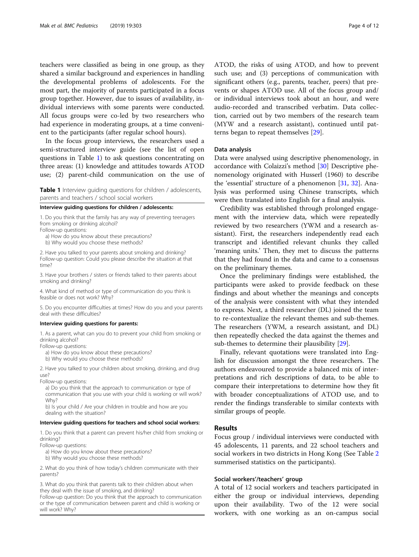teachers were classified as being in one group, as they shared a similar background and experiences in handling the developmental problems of adolescents. For the most part, the majority of parents participated in a focus group together. However, due to issues of availability, individual interviews with some parents were conducted. All focus groups were co-led by two researchers who had experience in moderating groups, at a time convenient to the participants (after regular school hours).

In the focus group interviews, the researchers used a semi-structured interview guide (see the list of open questions in Table 1) to ask questions concentrating on three areas: (1) knowledge and attitudes towards ATOD use; (2) parent-child communication on the use of

Table 1 Interview guiding questions for children / adolescents, parents and teachers / school social workers

Interview guiding questions for children / adolescents:

1. Do you think that the family has any way of preventing teenagers from smoking or drinking alcohol?

Follow-up questions:

a) How do you know about these precautions?

b) Why would you choose these methods?

2. Have you talked to your parents about smoking and drinking? Follow-up question: Could you please describe the situation at that time?

3. Have your brothers / sisters or friends talked to their parents about smoking and drinking?

4. What kind of method or type of communication do you think is feasible or does not work? Why?

5. Do you encounter difficulties at times? How do you and your parents deal with these difficulties?

#### Interview guiding questions for parents:

1. As a parent, what can you do to prevent your child from smoking or drinking alcohol?

Follow-up questions:

a) How do you know about these precautions?

b) Why would you choose these methods?

2. Have you talked to your children about smoking, drinking, and drug use?

Follow-up questions:

a) Do you think that the approach to communication or type of communication that you use with your child is working or will work? Why?

b) Is your child / Are your children in trouble and how are you dealing with the situation?

## Interview guiding questions for teachers and school social workers:

1. Do you think that a parent can prevent his/her child from smoking or drinking?

Follow-up questions:

a) How do you know about these precautions?

b) Why would you choose these methods?

2. What do you think of how today's children communicate with their parents?

3. What do you think that parents talk to their children about when they deal with the issue of smoking, and drinking?

Follow-up question: Do you think that the approach to communication or the type of communication between parent and child is working or will work? Why?

ATOD, the risks of using ATOD, and how to prevent such use; and (3) perceptions of communication with significant others (e.g., parents, teacher, peers) that prevents or shapes ATOD use. All of the focus group and/ or individual interviews took about an hour, and were audio-recorded and transcribed verbatim. Data collection, carried out by two members of the research team (MYW and a research assistant), continued until patterns began to repeat themselves [\[29\]](#page-11-0).

## Data analysis

Data were analysed using descriptive phenomenology, in accordance with Colaizzi's method [[30](#page-11-0)] Descriptive phenomenology originated with Husserl (1960) to describe the 'essential' structure of a phenomenon [[31,](#page-11-0) [32](#page-11-0)]. Analysis was performed using Chinese transcripts, which were then translated into English for a final analysis.

Credibility was established through prolonged engagement with the interview data, which were repeatedly reviewed by two researchers (YWM and a research assistant). First, the researchers independently read each transcript and identified relevant chunks they called 'meaning units.' Then, they met to discuss the patterns that they had found in the data and came to a consensus on the preliminary themes.

Once the preliminary findings were established, the participants were asked to provide feedback on these findings and about whether the meanings and concepts of the analysis were consistent with what they intended to express. Next, a third researcher (DL) joined the team to re-contextualize the relevant themes and sub-themes. The researchers (YWM, a research assistant, and DL) then repeatedly checked the data against the themes and sub-themes to determine their plausibility [[29](#page-11-0)].

Finally, relevant quotations were translated into English for discussion amongst the three researchers. The authors endeavoured to provide a balanced mix of interpretations and rich descriptions of data, to be able to compare their interpretations to determine how they fit with broader conceptualizations of ATOD use, and to render the findings transferable to similar contexts with similar groups of people.

### Results

Focus group / individual interviews were conducted with 45 adolescents, 11 parents, and 22 school teachers and social workers in two districts in Hong Kong (See Table [2](#page-4-0) summerised statistics on the participants).

## Social workers'/teachers' group

A total of 12 social workers and teachers participated in either the group or individual interviews, depending upon their availability. Two of the 12 were social workers, with one working as an on-campus social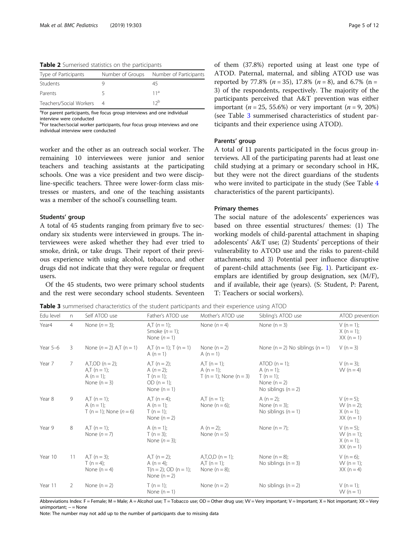<span id="page-4-0"></span>Table 2 Sumerised statistics on the participants

| Type of Participants    | Number of Groups Number of Participants |
|-------------------------|-----------------------------------------|
| Students                | 45                                      |
| Parents                 | 11 <sup>a</sup>                         |
| Teachers/Social Workers | 12 <sub>p</sub>                         |

<sup>a</sup>For parent participants, five focus group interviews and one individual

interview were conducted

<sup>b</sup>For teacher/social worker participants, four focus group interviews and one individual interview were conducted

worker and the other as an outreach social worker. The remaining 10 interviewees were junior and senior teachers and teaching assistants at the participating schools. One was a vice president and two were discipline-specific teachers. Three were lower-form class mistresses or masters, and one of the teaching assistants was a member of the school's counselling team.

#### Students' group

A total of 45 students ranging from primary five to secondary six students were interviewed in groups. The interviewees were asked whether they had ever tried to smoke, drink, or take drugs. Their report of their previous experience with using alcohol, tobacco, and other drugs did not indicate that they were regular or frequent users.

Of the 45 students, two were primary school students and the rest were secondary school students. Seventeen of them (37.8%) reported using at least one type of ATOD. Paternal, maternal, and sibling ATOD use was reported by 77.8% ( $n = 35$ ), 17.8% ( $n = 8$ ), and 6.7% ( $n =$ 3) of the respondents, respectively. The majority of the participants perceived that A&T prevention was either important (*n* = 25, 55.6%) or very important (*n* = 9, 20%) (see Table 3 summerised characteristics of student participants and their experience using ATOD).

## Parents' group

A total of 11 parents participated in the focus group interviews. All of the participating parents had at least one child studying at a primary or secondary school in HK, but they were not the direct guardians of the students who were invited to participate in the study (See Table [4](#page-5-0) characteristics of the parent participants).

### Primary themes

The social nature of the adolescents' experiences was based on three essential structures/ themes: (1) The working models of child-parental attachment in shaping adolescents' A&T use; (2) Students' perceptions of their vulnerability to ATOD use and the risks to parent-child attachments; and 3) Potential peer influence disruptive of parent-child attachments (see Fig. [1\)](#page-5-0). Participant exemplars are identified by group designation, sex (M/F), and if available, their age (years). (S: Student, P: Parent, T: Teachers or social workers).

**Table 3** summerised characteristics of the student participants and their experience using ATOD

| Edu level | n              | Self ATOD use                                                            | Father's ATOD use                                                                | Mother's ATOD use                                        | Sibling's ATOD use                                                                      | ATOD prevention                                              |
|-----------|----------------|--------------------------------------------------------------------------|----------------------------------------------------------------------------------|----------------------------------------------------------|-----------------------------------------------------------------------------------------|--------------------------------------------------------------|
| Year4     | $\overline{4}$ | None $(n=3)$ ;                                                           | $A,T (n = 1);$<br>Smoke $(n = 1)$ ;<br>None $(n=1)$                              | None $(n=4)$                                             | None $(n = 3)$                                                                          | $V(n = 1);$<br>$X (n = 1);$<br>$XX(n=1)$                     |
| Year 5-6  | 3              | None $(n = 2)$ A,T $(n = 1)$                                             | A,T $(n = 1)$ ; T $(n = 1)$<br>A $(n = 1)$                                       | None $(n = 2)$<br>A $(n = 1)$                            | None $(n = 2)$ No siblings $(n = 1)$                                                    | $V(n=3)$                                                     |
| Year 7    | $7^{\circ}$    | $A, T, OD (n = 2);$<br>$A,T (n = 1);$<br>A $(n = 1)$ ;<br>None $(n = 3)$ | $A,T (n = 2);$<br>A $(n=2)$ ;<br>$T(n=1)$ ;<br>$OD (n = 1);$<br>None $(n = 1)$   | $A, T (n = 1);$<br>A (n = 1);<br>T (n = 1); None (n = 3) | $ATOD (n = 1):$<br>A (n = 1);<br>$T(n = 1);$<br>None $(n = 2)$<br>No siblings $(n = 2)$ | V ( $n = 3$ );<br>W ( $n = 4$ )                              |
| Year 8    | 9              | $A,T (n = 1);$<br>A $(n = 1)$ ;<br>T (n = 1); None (n = 6)               | $A,T (n = 4);$<br>A $(n = 1)$ ;<br>$T(n = 1)$ ;<br>None $(n = 2)$                | $A,T (n = 1);$<br>None $(n = 6)$ ;                       | A $(n = 2)$ ;<br>None $(n = 3)$ ;<br>No siblings $(n = 1)$                              | $V(n=5);$<br>$W (n = 2);$<br>$X(n = 1);$<br>$XX(n=1)$        |
| Year 9    | 8              | $A,T (n = 1);$<br>None $(n=7)$                                           | A $(n = 1)$ ;<br>$T (n = 3);$<br>None $(n=3)$ ;                                  | A $(n = 2)$ ;<br>None $(n=5)$                            | None $(n=7)$ ;                                                                          | V ( $n = 5$ );<br>$W(n = 1)$ :<br>$X (n = 1)$ ;<br>$XX(n=1)$ |
| Year 10   | 11             | $A,T (n = 3);$<br>$T(n=4)$ :<br>None $(n=4)$                             | $A,T (n = 2);$<br>A $(n = 4)$ ;<br>$T(n = 2)$ ; OD $(n = 1)$ ;<br>None $(n = 2)$ | $A,T,O,D$ (n = 1);<br>$A,T(n=1);$<br>None $(n=8)$ ;      | None $(n=8)$ ;<br>No siblings $(n = 3)$                                                 | V ( $n = 6$ );<br>$W(n = 1)$ ;<br>$XX (n = 4)$               |
| Year 11   | 2              | None $(n = 2)$                                                           | $T(n = 1)$ ;<br>None $(n = 1)$                                                   | None $(n = 2)$                                           | No siblings $(n = 2)$                                                                   | $V(n = 1)$ ;<br>$W(n = 1)$                                   |

Abbreviations Index: F = Female; M = Male; A = Alcohol use; T = Tobacco use; OD = Other drug use; VV = Very important; V = Important; X = Not important; XX = Very unimportant; − = None

Note: The number may not add up to the number of participants due to missing data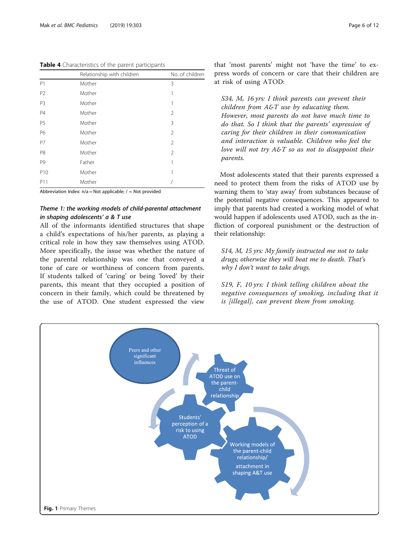<span id="page-5-0"></span>Table 4 Characteristics of the parent participants

|                 | Relationship with children | No. of children |
|-----------------|----------------------------|-----------------|
| P1              | Mother                     | 3               |
| P <sub>2</sub>  | Mother                     | 1               |
| P <sub>3</sub>  | Mother                     | 1               |
| <b>P4</b>       | Mother                     | 2               |
| P <sub>5</sub>  | Mother                     | 3               |
| P6              | Mother                     | $\overline{2}$  |
| P7              | Mother                     | 2               |
| P <sub>8</sub>  | Mother                     | 2               |
| P <sub>9</sub>  | Father                     | 1               |
| P <sub>10</sub> | Mother                     | 1               |
| P11             | Mother                     |                 |

Abbreviation Index:  $n/a = Not$  applicable;  $/ = Not$  provided

## Theme 1: the working models of child-parental attachment in shaping adolescents' a & T use

All of the informants identified structures that shape a child's expectations of his/her parents, as playing a critical role in how they saw themselves using ATOD. More specifically, the issue was whether the nature of the parental relationship was one that conveyed a tone of care or worthiness of concern from parents. If students talked of 'caring' or being 'loved' by their parents, this meant that they occupied a position of concern in their family, which could be threatened by the use of ATOD. One student expressed the view that 'most parents' might not 'have the time' to express words of concern or care that their children are at risk of using ATOD:

S34, M, 16 yrs: I think parents can prevent their children from  $A \& T$  use by educating them. However, most parents do not have much time to do that. So I think that the parents' expression of caring for their children in their communication and interaction is valuable. Children who feel the love will not try A&T so as not to disappoint their parents.

Most adolescents stated that their parents expressed a need to protect them from the risks of ATOD use by warning them to 'stay away' from substances because of the potential negative consequences. This appeared to imply that parents had created a working model of what would happen if adolescents used ATOD, such as the infliction of corporeal punishment or the destruction of their relationship:

S14, M, 15 yrs: My family instructed me not to take drugs; otherwise they will beat me to death. That's why I don't want to take drugs.

S19, F, 10 yrs: I think telling children about the negative consequences of smoking, including that it is [illegal], can prevent them from smoking.

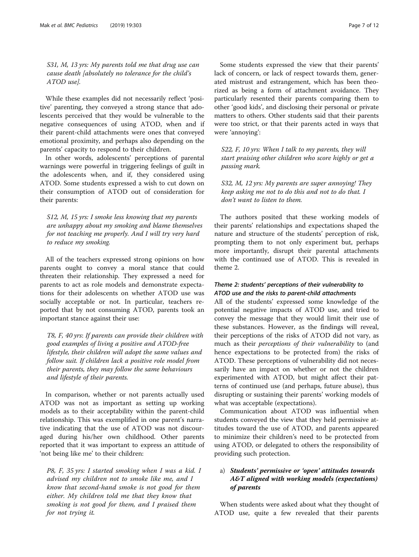S31, M, 13 yrs: My parents told me that drug use can cause death [absolutely no tolerance for the child's ATOD use].

While these examples did not necessarily reflect 'positive' parenting, they conveyed a strong stance that adolescents perceived that they would be vulnerable to the negative consequences of using ATOD, when and if their parent-child attachments were ones that conveyed emotional proximity, and perhaps also depending on the parents' capacity to respond to their children.

In other words, adolescents' perceptions of parental warnings were powerful in triggering feelings of guilt in the adolescents when, and if, they considered using ATOD. Some students expressed a wish to cut down on their consumption of ATOD out of consideration for their parents:

S12, M, 15 yrs: I smoke less knowing that my parents are unhappy about my smoking and blame themselves for not teaching me properly. And I will try very hard to reduce my smoking.

All of the teachers expressed strong opinions on how parents ought to convey a moral stance that could threaten their relationship. They expressed a need for parents to act as role models and demonstrate expectations for their adolescents on whether ATOD use was socially acceptable or not. In particular, teachers reported that by not consuming ATOD, parents took an important stance against their use:

T8, F, 40 yrs: If parents can provide their children with good examples of living a positive and ATOD-free lifestyle, their children will adopt the same values and follow suit. If children lack a positive role model from their parents, they may follow the same behaviours and lifestyle of their parents.

In comparison, whether or not parents actually used ATOD was not as important as setting up working models as to their acceptability within the parent-child relationship. This was exemplified in one parent's narrative indicating that the use of ATOD was not discouraged during his/her own childhood. Other parents reported that it was important to express an attitude of 'not being like me' to their children:

P8, F, 35 yrs: I started smoking when I was a kid. I advised my children not to smoke like me, and I know that second-hand smoke is not good for them either. My children told me that they know that smoking is not good for them, and I praised them for not trying it.

Some students expressed the view that their parents' lack of concern, or lack of respect towards them, generated mistrust and estrangement, which has been theorized as being a form of attachment avoidance. They particularly resented their parents comparing them to other 'good kids', and disclosing their personal or private matters to others. Other students said that their parents were too strict, or that their parents acted in ways that were 'annoying':

S22, F, 10 yrs: When I talk to my parents, they will start praising other children who score highly or get a passing mark.

S32, M, 12 yrs: My parents are super annoying! They keep asking me not to do this and not to do that. I don't want to listen to them.

The authors posited that these working models of their parents' relationships and expectations shaped the nature and structure of the students' perception of risk, prompting them to not only experiment but, perhaps more importantly, disrupt their parental attachments with the continued use of ATOD. This is revealed in theme 2.

## Theme 2: students' perceptions of their vulnerability to ATOD use and the risks to parent-child attachments

All of the students' expressed some knowledge of the potential negative impacts of ATOD use, and tried to convey the message that they would limit their use of these substances. However, as the findings will reveal, their perceptions of the risks of ATOD did not vary, as much as their perceptions of their vulnerability to (and hence expectations to be protected from) the risks of ATOD. These perceptions of vulnerability did not necessarily have an impact on whether or not the children experimented with ATOD, but might affect their patterns of continued use (and perhaps, future abuse), thus disrupting or sustaining their parents' working models of what was acceptable (expectations).

Communication about ATOD was influential when students conveyed the view that they held permissive attitudes toward the use of ATOD, and parents appeared to minimize their children's need to be protected from using ATOD, or delegated to others the responsibility of providing such protection.

## a) Students' permissive or 'open' attitudes towards A&T aligned with working models (expectations) of parents

When students were asked about what they thought of ATOD use, quite a few revealed that their parents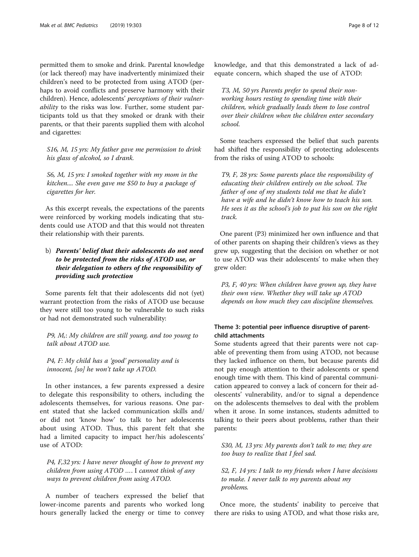permitted them to smoke and drink. Parental knowledge (or lack thereof) may have inadvertently minimized their children's need to be protected from using ATOD (perhaps to avoid conflicts and preserve harmony with their children). Hence, adolescents' perceptions of their vulnerability to the risks was low. Further, some student participants told us that they smoked or drank with their parents, or that their parents supplied them with alcohol and cigarettes:

S16, M, 15 yrs: My father gave me permission to drink his glass of alcohol, so I drank.

S6, M, 15 yrs: I smoked together with my mom in the kitchen.... She even gave me \$50 to buy a package of cigarettes for her.

As this excerpt reveals, the expectations of the parents were reinforced by working models indicating that students could use ATOD and that this would not threaten their relationship with their parents.

## b) Parents' belief that their adolescents do not need to be protected from the risks of ATOD use, or their delegation to others of the responsibility of providing such protection

Some parents felt that their adolescents did not (yet) warrant protection from the risks of ATOD use because they were still too young to be vulnerable to such risks or had not demonstrated such vulnerability:

P9, M,: My children are still young, and too young to talk about ATOD use.

P4, F: My child has a 'good' personality and is innocent, [so] he won't take up ATOD.

In other instances, a few parents expressed a desire to delegate this responsibility to others, including the adolescents themselves, for various reasons. One parent stated that she lacked communication skills and/ or did not 'know how' to talk to her adolescents about using ATOD. Thus, this parent felt that she had a limited capacity to impact her/his adolescents' use of ATOD:

 $P4$ , F,32 yrs: I have never thought of how to prevent my children from using ATOD …. I cannot think of any ways to prevent children from using ATOD.

A number of teachers expressed the belief that lower-income parents and parents who worked long hours generally lacked the energy or time to convey

knowledge, and that this demonstrated a lack of adequate concern, which shaped the use of ATOD:

T3, M, 50 yrs Parents prefer to spend their nonworking hours resting to spending time with their children, which gradually leads them to lose control over their children when the children enter secondary school.

Some teachers expressed the belief that such parents had shifted the responsibility of protecting adolescents from the risks of using ATOD to schools:

T9, F, 28 yrs: Some parents place the responsibility of educating their children entirely on the school. The father of one of my students told me that he didn't have a wife and he didn't know how to teach his son. He sees it as the school's job to put his son on the right track.

One parent (P3) minimized her own influence and that of other parents on shaping their children's views as they grew up, suggesting that the decision on whether or not to use ATOD was their adolescents' to make when they grew older:

P3, F, 40 yrs: When children have grown up, they have their own view. Whether they will take up ATOD depends on how much they can discipline themselves.

## Theme 3: potential peer influence disruptive of parentchild attachments

Some students agreed that their parents were not capable of preventing them from using ATOD, not because they lacked influence on them, but because parents did not pay enough attention to their adolescents or spend enough time with them. This kind of parental communication appeared to convey a lack of concern for their adolescents' vulnerability, and/or to signal a dependence on the adolescents themselves to deal with the problem when it arose. In some instances, students admitted to talking to their peers about problems, rather than their parents:

S30, M, 13 yrs: My parents don't talk to me; they are too busy to realize that I feel sad.

S2, F, 14 yrs: I talk to my friends when I have decisions to make. I never talk to my parents about my problems.

Once more, the students' inability to perceive that there are risks to using ATOD, and what those risks are,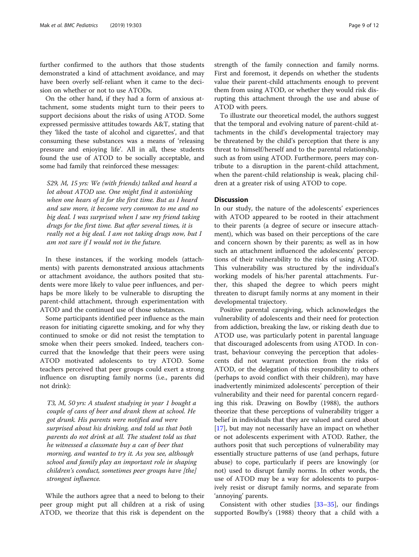further confirmed to the authors that those students demonstrated a kind of attachment avoidance, and may have been overly self-reliant when it came to the decision on whether or not to use ATODs.

On the other hand, if they had a form of anxious attachment, some students might turn to their peers to support decisions about the risks of using ATOD. Some expressed permissive attitudes towards A&T, stating that they 'liked the taste of alcohol and cigarettes', and that consuming these substances was a means of 'releasing pressure and enjoying life'. All in all, these students found the use of ATOD to be socially acceptable, and some had family that reinforced these messages:

S29, M, 15 yrs: We (with friends) talked and heard a lot about ATOD use. One might find it astonishing when one hears of it for the first time. But as I heard and saw more, it become very common to me and no big deal. I was surprised when I saw my friend taking drugs for the first time. But after several times, it is really not a big deal. I am not taking drugs now, but I am not sure if I would not in the future.

In these instances, if the working models (attachments) with parents demonstrated anxious attachments or attachment avoidance, the authors posited that students were more likely to value peer influences, and perhaps be more likely to be vulnerable to disrupting the parent-child attachment, through experimentation with ATOD and the continued use of those substances.

Some participants identified peer influence as the main reason for initiating cigarette smoking, and for why they continued to smoke or did not resist the temptation to smoke when their peers smoked. Indeed, teachers concurred that the knowledge that their peers were using ATOD motivated adolescents to try ATOD. Some teachers perceived that peer groups could exert a strong influence on disrupting family norms (i.e., parents did not drink):

T3, M, 50 yrs: A student studying in year 1 bought a couple of cans of beer and drank them at school. He got drunk. His parents were notified and were surprised about his drinking, and told us that both parents do not drink at all. The student told us that he witnessed a classmate buy a can of beer that morning, and wanted to try it. As you see, although school and family play an important role in shaping children's conduct, sometimes peer groups have [the] strongest influence.

While the authors agree that a need to belong to their peer group might put all children at a risk of using ATOD, we theorize that this risk is dependent on the strength of the family connection and family norms. First and foremost, it depends on whether the students value their parent-child attachments enough to prevent them from using ATOD, or whether they would risk disrupting this attachment through the use and abuse of ATOD with peers.

To illustrate our theoretical model, the authors suggest that the temporal and evolving nature of parent-child attachments in the child's developmental trajectory may be threatened by the child's perception that there is any threat to himself/herself and to the parental relationship, such as from using ATOD. Furthermore, peers may contribute to a disruption in the parent-child attachment, when the parent-child relationship is weak, placing children at a greater risk of using ATOD to cope.

## **Discussion**

In our study, the nature of the adolescents' experiences with ATOD appeared to be rooted in their attachment to their parents (a degree of secure or insecure attachment), which was based on their perceptions of the care and concern shown by their parents; as well as in how such an attachment influenced the adolescents' perceptions of their vulnerability to the risks of using ATOD. This vulnerability was structured by the individual's working models of his/her parental attachments. Further, this shaped the degree to which peers might threaten to disrupt family norms at any moment in their developmental trajectory.

Positive parental caregiving, which acknowledges the vulnerability of adolescents and their need for protection from addiction, breaking the law, or risking death due to ATOD use, was particularly potent in parental language that discouraged adolescents from using ATOD. In contrast, behaviour conveying the perception that adolescents did not warrant protection from the risks of ATOD, or the delegation of this responsibility to others (perhaps to avoid conflict with their children), may have inadvertently minimized adolescents' perception of their vulnerability and their need for parental concern regarding this risk. Drawing on Bowlby (1988), the authors theorize that these perceptions of vulnerability trigger a belief in individuals that they are valued and cared about [[17\]](#page-10-0), but may not necessarily have an impact on whether or not adolescents experiment with ATOD. Rather, the authors posit that such perceptions of vulnerability may essentially structure patterns of use (and perhaps, future abuse) to cope, particularly if peers are knowingly (or not) used to disrupt family norms. In other words, the use of ATOD may be a way for adolescents to purposively resist or disrupt family norms, and separate from 'annoying' parents.

Consistent with other studies  $[33-35]$  $[33-35]$  $[33-35]$  $[33-35]$  $[33-35]$ , our findings supported Bowlby's (1988) theory that a child with a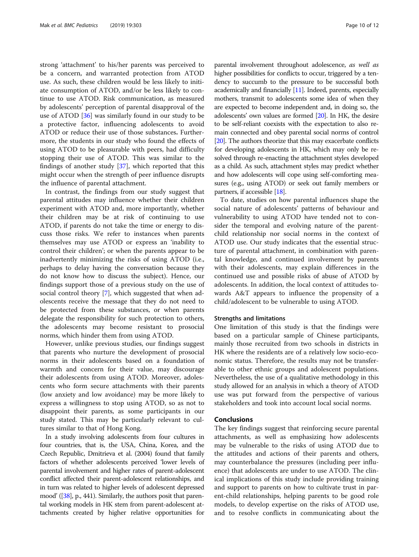strong 'attachment' to his/her parents was perceived to be a concern, and warranted protection from ATOD use. As such, these children would be less likely to initiate consumption of ATOD, and/or be less likely to continue to use ATOD. Risk communication, as measured by adolescents' perception of parental disapproval of the use of ATOD [[36](#page-11-0)] was similarly found in our study to be a protective factor, influencing adolescents to avoid ATOD or reduce their use of those substances. Furthermore, the students in our study who found the effects of using ATOD to be pleasurable with peers, had difficulty stopping their use of ATOD. This was similar to the findings of another study [\[37](#page-11-0)], which reported that this might occur when the strength of peer influence disrupts the influence of parental attachment.

In contrast, the findings from our study suggest that parental attitudes may influence whether their children experiment with ATOD and, more importantly, whether their children may be at risk of continuing to use ATOD, if parents do not take the time or energy to discuss those risks. We refer to instances when parents themselves may use ATOD or express an 'inability to control their children'; or when the parents appear to be inadvertently minimizing the risks of using ATOD (i.e., perhaps to delay having the conversation because they do not know how to discuss the subject). Hence, our findings support those of a previous study on the use of social control theory [\[7](#page-10-0)], which suggested that when adolescents receive the message that they do not need to be protected from these substances, or when parents delegate the responsibility for such protection to others, the adolescents may become resistant to prosocial norms, which hinder them from using ATOD.

However, unlike previous studies, our findings suggest that parents who nurture the development of prosocial norms in their adolescents based on a foundation of warmth and concern for their value, may discourage their adolescents from using ATOD. Moreover, adolescents who form secure attachments with their parents (low anxiety and low avoidance) may be more likely to express a willingness to stop using ATOD, so as not to disappoint their parents, as some participants in our study stated. This may be particularly relevant to cultures similar to that of Hong Kong.

In a study involving adolescents from four cultures in four countries, that is, the USA, China, Korea, and the Czech Republic, Dmitrieva et al. (2004) found that family factors of whether adolescents perceived 'lower levels of parental involvement and higher rates of parent-adolescent conflict affected their parent-adolescent relationships, and in turn was related to higher levels of adolescent depressed mood' ([\[38](#page-11-0)], p., 441). Similarly, the authors posit that parental working models in HK stem from parent-adolescent attachments created by higher relative opportunities for

parental involvement throughout adolescence, as well as higher possibilities for conflicts to occur, triggered by a tendency to succumb to the pressure to be successful both academically and financially  $[11]$ . Indeed, parents, especially mothers, transmit to adolescents some idea of when they are expected to become independent and, in doing so, the adolescents' own values are formed [[20\]](#page-10-0). In HK, the desire to be self-reliant coexists with the expectation to also remain connected and obey parental social norms of control [[20](#page-10-0)]. The authors theorize that this may exacerbate conflicts for developing adolescents in HK, which may only be resolved through re-enacting the attachment styles developed as a child. As such, attachment styles may predict whether and how adolescents will cope using self-comforting measures (e.g., using ATOD) or seek out family members or partners, if accessible [[18](#page-10-0)].

To date, studies on how parental influences shape the social nature of adolescents' patterns of behaviour and vulnerability to using ATOD have tended not to consider the temporal and evolving nature of the parentchild relationship nor social norms in the context of ATOD use. Our study indicates that the essential structure of parental attachment, in combination with parental knowledge, and continued involvement by parents with their adolescents, may explain differences in the continued use and possible risks of abuse of ATOD by adolescents. In addition, the local context of attitudes towards A&T appears to influence the propensity of a child/adolescent to be vulnerable to using ATOD.

### Strengths and limitations

One limitation of this study is that the findings were based on a particular sample of Chinese participants, mainly those recruited from two schools in districts in HK where the residents are of a relatively low socio-economic status. Therefore, the results may not be transferable to other ethnic groups and adolescent populations. Nevertheless, the use of a qualitative methodology in this study allowed for an analysis in which a theory of ATOD use was put forward from the perspective of various stakeholders and took into account local social norms.

## Conclusions

The key findings suggest that reinforcing secure parental attachments, as well as emphasizing how adolescents may be vulnerable to the risks of using ATOD due to the attitudes and actions of their parents and others, may counterbalance the pressures (including peer influence) that adolescents are under to use ATOD. The clinical implications of this study include providing training and support to parents on how to cultivate trust in parent-child relationships, helping parents to be good role models, to develop expertise on the risks of ATOD use, and to resolve conflicts in communicating about the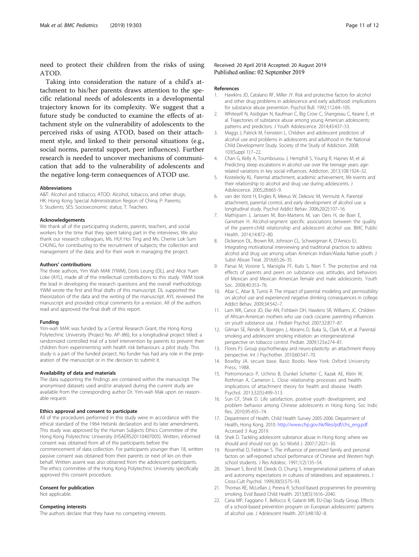<span id="page-10-0"></span>need to protect their children from the risks of using ATOD.

Taking into consideration the nature of a child's attachment to his/her parents draws attention to the specific relational needs of adolescents in a developmental trajectory known for its complexity. We suggest that a future study be conducted to examine the effects of attachment style on the vulnerability of adolescents to the perceived risks of using ATOD, based on their attachment style, and linked to their personal situations (e.g., social norms, parental support, peer influences). Further research is needed to uncover mechanisms of communication that add to the vulnerability of adolescents and the negative long-term consequences of ATOD use.

#### Abbreviations

A&T: Alcohol and tobacco; ATOD: Alcohol, tobacco, and other drugs; HK: Hong Kong Special Administration Region of China; P: Parents; S: Students; SES: Socioeconomic status; T: Teachers

#### Acknowledgements

We thank all of the participating students, parents, teachers, and social workers for the time that they spent taking part in the interviews. We also thank our research colleagues, Ms. HUI Hoi Ting and Ms. Cherrie Lok Sum CHUNG, for contributing to the recruitment of subjects; the collection and management of the data; and for their work in managing the project.

#### Authors' contributions

The three authors, Yim Wah MAK (YWM), Doris Leung (DL), and Alice Yuen Loke (AYL), made all of the intellectual contributions to this study. YWM took the lead in developing the research questions and the overall methodology. YWM wrote the first and final drafts of this manuscript. DL supported the theorization of the data and the writing of the manuscript. AYL reviewed the manuscript and provided critical comments for a revision. All of the authors read and approved the final draft of this report.

#### Funding

Yim-wah MAK was funded by a Central Research Grant, the Hong Kong Polytechnic University (Project No. AP-J86), for a longitudinal project titled: a randomized controlled trial of a brief intervention by parents to prevent their children from experimenting with health risk behaviours: a pilot study. This study is a part of the funded project. No funder has had any role in the preparation of the manuscript or in the decision to submit it.

#### Availability of data and materials

The data supporting the findings are contained within the manuscirpt. The anonymised datasets used and/or analysed during the current study are available from the corresponding author Dr. Yim-wah Mak upon on reasonable request.

#### Ethics approval and consent to participate

All of the procedures performed in this study were in accordance with the ethical standard of the 1964 Helsinki declaration and its later amendments. This study was approved by the Human Subjects Ethics Committee of the Hong Kong Polytechnic University (HSAERS20110407005). Written, informed consent was obtained from all of the participants before the commencement of data collection. For participants younger than 18, written passive consent was obtained from their parents or next of kin on their behalf. Written assent was also obtained from the adolescent participants. The ethics committee of the Hong Kong Polytechnic University specifically approved this consent procedure.

#### Consent for publication

Not applicable.

## Competing interests

The authors declare that they have no competing interests.

#### References

- 1. Hawkins JD, Catalano RF, Miller JY. Risk and protective factors for alcohol and other drug problems in adolescence and early adulthood: implications for substance abuse prevention. Psychol Bull. 1992;112:64–105.
- 2. Whitesell N, Asidigian N, Kaufman C, Big Crow C, Shangreau C, Keane E, et al. Trajectories of substance abuse among young American adolescents: patterns and predictors. J Youth Adolescence. 2014;43:437–53.
- 3. Maggs J, Patrick M, Feinstein L. Children and adolescent predictors of alcohol use and problems in adolescents and adulthood in the National Child Development Study. Society of the Study of Addiction. 2008; 103(Suppl 1):7–22.
- 4. Chan G, Kelly A, Toumbourou J, Hemphill S, Young R, Haynes M, et al. Predicting steep escalations in alcohol use over the teenage years: agerelated variations in key social influences. Addiction. 2013;108:1924–32.
- 5. Kostelecky KL. Parental attachment, academic achievement, life events and their relationship to alcohol and drug use during adolescents. J Adolescence. 2005;28:665–9.
- 6. van der Vorst H, Engles R, Meeus W, Dekovic M, Vermulst A. Parental attachment, parental control, and early development of alcohol use: a longitudinal study. Psychol Addict Behav. 2006;20(2):107–16.
- 7. Mathijssen J, Janssen M, Bon-Martens M, van Oers H, de Boer E, Garretsen H. Alcohol-segment specific associations between the quality of the parent-child relationship and adolescent alcohol use. BMC Public Health. 2014;14:872–80.
- 8. Dickerson DL, Brown RA, Johnson CL, Schweigman K, D'Amico EJ. Integrating motivational interviewing and traditional practices to address alcohol and drug use among urban American Indian/Alaska Native youth. J Subst Abuse Treat. 2016;65:26–35.
- 9. Parsai M, Voisine S, Marsiglia FF, Kulis S, Nieri T. The protective and risk effects of parents and peers on substance use, attitudes, and behaviors of Mexican and Mexican American female and male adolescents. Youth Soc. 2008;40:353–76.
- 10. Abar C, Abar B, Turrisi R. The impact of parental modeling and permissibility on alcohol use and experienced negative drinking consequences in college. Addict Behav. 2009;34:542–7.
- 11. Lam WK, Cance JD, Eke AN, Fishbein DH, Hawkins SR, Williams JC. Children of African-American mothers who use crack cocaine: parenting influences on youth substance use. J Pediatr Psychol. 2007;32:877–87.
- 12. Gilman SE, Rende R, Boergers J, Abrams D, Buka SL, Clark KA, et al. Parental smoking and adolescent smoking initiation: an intergenerational perspective on tobacco control. Pediatr. 2009;123:e274–81.
- 13. Flores PJ. Group psychotherapy and neuro-plasticity: an attachment theory perspective. Int J Psychother. 2010;60:547–70.
- 14. Bowlby JA. secure base. Basic Books. New York: Oxford University Press; 1988.
- 15. Pietromonaco P, Uchino B, Dunkel Schetter C, Kazak AE, Klein W, Rothman A, Cameron L. Close relationship processes and health: implications of attachment theory for health and disease. Health Psychol. 2013;32(5):499–513.
- 16. Sun CF, Shek D. Life satisfaction, positive youth development, and problem behavior among Chinese adolescents in Hong Kong. Soc Indic Res. 2010;95:455–74.
- 17. Department of Health. Child Health Survey 2005-2006. Department of Health, Hong Kong. 2010. [http://www.chp.gov.hk/files/pdf/chs\\_eng.pdf.](http://www.chp.gov.hk/files/pdf/chs_eng.pdf) Accessed 3 Aug 2019.
- 18. Shek D. Tackling adolescent substance abuse in Hong Kong: where we should and should not go. Sci World J. 2007;7:2021–30.
- 19. Rosenthal D, Feldman S. The influence of perceived family and personal factors on self-reported school performance of Chinese and Western high school students. J Res Adolesc. 1991;1(2):135–54.
- 20. Stewart S, Bond M, Deeds O, Chung S. Intergenerational patterns of values and autonomy expectations in cultures of relatedness and separateness. J Cross-Cult Psychol. 1999;30(5):575–93.
- 21. Thomas RE, McLellan J, Perera R. School-based programmes for preventing smoking. Evid Based Child Health. 2013;8(5):1616–2040.
- 22. Caria MP, Faggiano F, Bellocco R, Galanti MR, EU-Dap Study Group. Effects of a school-based prevention program on European adolescents' patterns of alcohol use. J Adolescent Health. 2013;48:182–8.